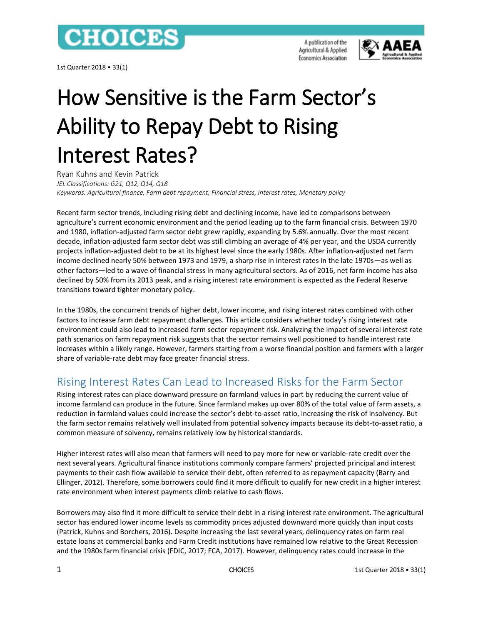

1st Quarter 2018 • 33(1)

A publication of the Agricultural & Applied **Economics Association** 



# How Sensitive is the Farm Sector's Ability to Repay Debt to Rising Interest Rates?

Ryan Kuhns and Kevin Patrick *JEL Classifications: G21, Q12, Q14, Q18 Keywords: Agricultural finance, Farm debt repayment, Financial stress, Interest rates, Monetary policy*

Recent farm sector trends, including rising debt and declining income, have led to comparisons between agriculture's current economic environment and the period leading up to the farm financial crisis. Between 1970 and 1980, inflation-adjusted farm sector debt grew rapidly, expanding by 5.6% annually. Over the most recent decade, inflation-adjusted farm sector debt was still climbing an average of 4% per year, and the USDA currently projects inflation-adjusted debt to be at its highest level since the early 1980s. After inflation-adjusted net farm income declined nearly 50% between 1973 and 1979, a sharp rise in interest rates in the late 1970s—as well as other factors—led to a wave of financial stress in many agricultural sectors. As of 2016, net farm income has also declined by 50% from its 2013 peak, and a rising interest rate environment is expected as the Federal Reserve transitions toward tighter monetary policy.

In the 1980s, the concurrent trends of higher debt, lower income, and rising interest rates combined with other factors to increase farm debt repayment challenges. This article considers whether today's rising interest rate environment could also lead to increased farm sector repayment risk. Analyzing the impact of several interest rate path scenarios on farm repayment risk suggests that the sector remains well positioned to handle interest rate increases within a likely range. However, farmers starting from a worse financial position and farmers with a larger share of variable-rate debt may face greater financial stress.

# Rising Interest Rates Can Lead to Increased Risks for the Farm Sector

Rising interest rates can place downward pressure on farmland values in part by reducing the current value of income farmland can produce in the future. Since farmland makes up over 80% of the total value of farm assets, a reduction in farmland values could increase the sector's debt-to-asset ratio, increasing the risk of insolvency. But the farm sector remains relatively well insulated from potential solvency impacts because its debt-to-asset ratio, a common measure of solvency, remains relatively low by historical standards.

Higher interest rates will also mean that farmers will need to pay more for new or variable-rate credit over the next several years. Agricultural finance institutions commonly compare farmers' projected principal and interest payments to their cash flow available to service their debt, often referred to as repayment capacity (Barry and Ellinger, 2012). Therefore, some borrowers could find it more difficult to qualify for new credit in a higher interest rate environment when interest payments climb relative to cash flows.

Borrowers may also find it more difficult to service their debt in a rising interest rate environment. The agricultural sector has endured lower income levels as commodity prices adjusted downward more quickly than input costs (Patrick, Kuhns and Borchers, 2016). Despite increasing the last several years, delinquency rates on farm real estate loans at commercial banks and Farm Credit institutions have remained low relative to the Great Recession and the 1980s farm financial crisis (FDIC, 2017; FCA, 2017). However, delinquency rates could increase in the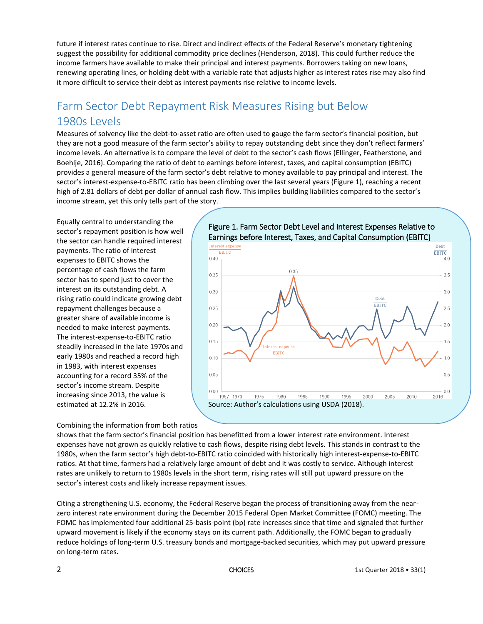future if interest rates continue to rise. Direct and indirect effects of the Federal Reserve's monetary tightening suggest the possibility for additional commodity price declines (Henderson, 2018). This could further reduce the income farmers have available to make their principal and interest payments. Borrowers taking on new loans, renewing operating lines, or holding debt with a variable rate that adjusts higher as interest rates rise may also find it more difficult to service their debt as interest payments rise relative to income levels.

# Farm Sector Debt Repayment Risk Measures Rising but Below 1980s Levels

Measures of solvency like the debt-to-asset ratio are often used to gauge the farm sector's financial position, but they are not a good measure of the farm sector's ability to repay outstanding debt since they don't reflect farmers' income levels. An alternative is to compare the level of debt to the sector's cash flows (Ellinger, Featherstone, and Boehlje, 2016). Comparing the ratio of debt to earnings before interest, taxes, and capital consumption (EBITC) provides a general measure of the farm sector's debt relative to money available to pay principal and interest. The sector's interest-expense-to-EBITC ratio has been climbing over the last several years (Figure 1), reaching a recent high of 2.81 dollars of debt per dollar of annual cash flow. This implies building liabilities compared to the sector's income stream, yet this only tells part of the story.

Equally central to understanding the sector's repayment position is how well the sector can handle required interest payments. The ratio of interest expenses to EBITC shows the percentage of cash flows the farm sector has to spend just to cover the interest on its outstanding debt. A rising ratio could indicate growing debt repayment challenges because a greater share of available income is needed to make interest payments. The interest-expense-to-EBITC ratio steadily increased in the late 1970s and early 1980s and reached a record high in 1983, with interest expenses accounting for a record 35% of the sector's income stream. Despite increasing since 2013, the value is estimated at 12.2% in 2016.

### Figure 1. Farm Sector Debt Level and Interest Expenses Relative to Earnings before Interest, Taxes, and Capital Consumption (EBITC)



#### Combining the information from both ratios

shows that the farm sector's financial position has benefitted from a lower interest rate environment. Interest expenses have not grown as quickly relative to cash flows, despite rising debt levels. This stands in contrast to the 1980s, when the farm sector's high debt-to-EBITC ratio coincided with historically high interest-expense-to-EBITC ratios. At that time, farmers had a relatively large amount of debt and it was costly to service. Although interest rates are unlikely to return to 1980s levels in the short term, rising rates will still put upward pressure on the sector's interest costs and likely increase repayment issues.

Citing a strengthening U.S. economy, the Federal Reserve began the process of transitioning away from the nearzero interest rate environment during the December 2015 Federal Open Market Committee (FOMC) meeting. The FOMC has implemented four additional 25-basis-point (bp) rate increases since that time and signaled that further upward movement is likely if the economy stays on its current path. Additionally, the FOMC began to gradually reduce holdings of long-term U.S. treasury bonds and mortgage-backed securities, which may put upward pressure on long-term rates.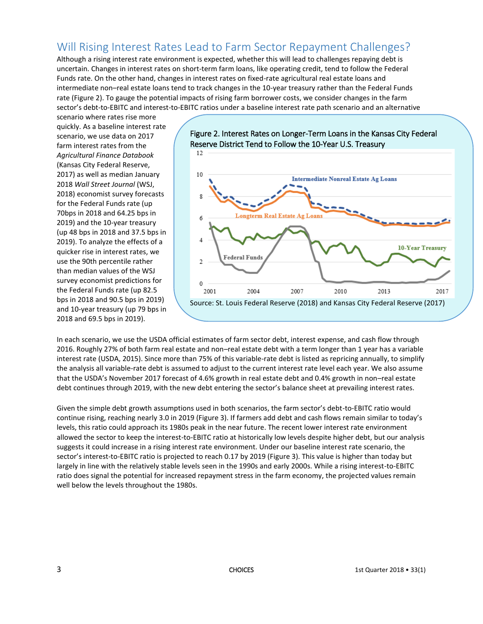# Will Rising Interest Rates Lead to Farm Sector Repayment Challenges?

Although a rising interest rate environment is expected, whether this will lead to challenges repaying debt is uncertain. Changes in interest rates on short-term farm loans, like operating credit, tend to follow the Federal Funds rate. On the other hand, changes in interest rates on fixed-rate agricultural real estate loans and intermediate non–real estate loans tend to track changes in the 10-year treasury rather than the Federal Funds rate (Figure 2). To gauge the potential impacts of rising farm borrower costs, we consider changes in the farm sector's debt-to-EBITC and interest-to-EBITC ratios under a baseline interest rate path scenario and an alternative

scenario where rates rise more quickly. As a baseline interest rate scenario, we use data on 2017 farm interest rates from the *Agricultural Finance Databook* (Kansas City Federal Reserve, 2017) as well as median January 2018 *Wall Street Journal* (WSJ, 2018) economist survey forecasts for the Federal Funds rate (up 70bps in 2018 and 64.25 bps in 2019) and the 10-year treasury (up 48 bps in 2018 and 37.5 bps in 2019). To analyze the effects of a quicker rise in interest rates, we use the 90th percentile rather than median values of the WSJ survey economist predictions for the Federal Funds rate (up 82.5 bps in 2018 and 90.5 bps in 2019) and 10-year treasury (up 79 bps in 2018 and 69.5 bps in 2019).





In each scenario, we use the USDA official estimates of farm sector debt, interest expense, and cash flow through 2016. Roughly 27% of both farm real estate and non–real estate debt with a term longer than 1 year has a variable interest rate (USDA, 2015). Since more than 75% of this variable-rate debt is listed as repricing annually, to simplify the analysis all variable-rate debt is assumed to adjust to the current interest rate level each year. We also assume that the USDA's November 2017 forecast of 4.6% growth in real estate debt and 0.4% growth in non–real estate debt continues through 2019, with the new debt entering the sector's balance sheet at prevailing interest rates.

Given the simple debt growth assumptions used in both scenarios, the farm sector's debt-to-EBITC ratio would continue rising, reaching nearly 3.0 in 2019 (Figure 3). If farmers add debt and cash flows remain similar to today's levels, this ratio could approach its 1980s peak in the near future. The recent lower interest rate environment allowed the sector to keep the interest-to-EBITC ratio at historically low levels despite higher debt, but our analysis suggests it could increase in a rising interest rate environment. Under our baseline interest rate scenario, the sector's interest-to-EBITC ratio is projected to reach 0.17 by 2019 (Figure 3). This value is higher than today but largely in line with the relatively stable levels seen in the 1990s and early 2000s. While a rising interest-to-EBITC ratio does signal the potential for increased repayment stress in the farm economy, the projected values remain well below the levels throughout the 1980s.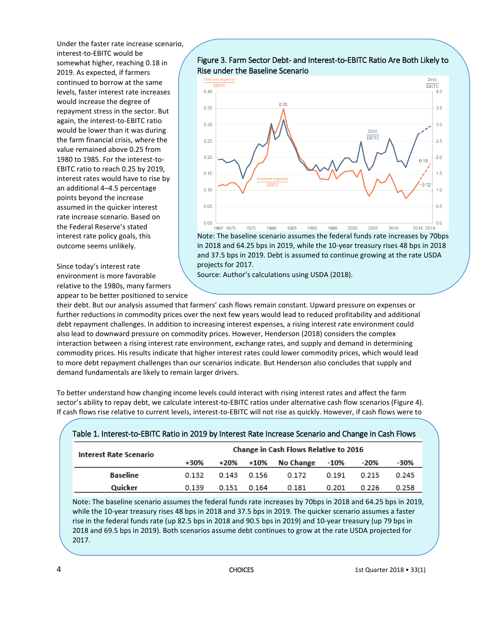Under the faster rate increase scenario, interest-to-EBITC would be somewhat higher, reaching 0.18 in 2019. As expected, if farmers continued to borrow at the same levels, faster interest rate increases would increase the degree of repayment stress in the sector. But again, the interest-to-EBITC ratio would be lower than it was during the farm financial crisis, where the value remained above 0.25 from 1980 to 1985. For the interest-to-EBITC ratio to reach 0.25 by 2019, interest rates would have to rise by an additional 4–4.5 percentage points beyond the increase assumed in the quicker interest rate increase scenario. Based on the Federal Reserve's stated interest rate policy goals, this outcome seems unlikely.

Since today's interest rate environment is more favorable relative to the 1980s, many farmers appear to be better positioned to service



Note: The baseline scenario assumes the federal funds rate increases by 70bps in 2018 and 64.25 bps in 2019, while the 10-year treasury rises 48 bps in 2018 and 37.5 bps in 2019. Debt is assumed to continue growing at the rate USDA projects for 2017.

Source: Author's calculations using USDA (2018).

their debt. But our analysis assumed that farmers' cash flows remain constant. Upward pressure on expenses or further reductions in commodity prices over the next few years would lead to reduced profitability and additional debt repayment challenges. In addition to increasing interest expenses, a rising interest rate environment could also lead to downward pressure on commodity prices. However, Henderson (2018) considers the complex interaction between a rising interest rate environment, exchange rates, and supply and demand in determining commodity prices. His results indicate that higher interest rates could lower commodity prices, which would lead to more debt repayment challenges than our scenarios indicate. But Henderson also concludes that supply and demand fundamentals are likely to remain larger drivers.

To better understand how changing income levels could interact with rising interest rates and affect the farm sector's ability to repay debt, we calculate interest-to-EBITC ratios under alternative cash flow scenarios (Figure 4). If cash flows rise relative to current levels, interest-to-EBITC will not rise as quickly. However, if cash flows were to

|  |  | Table 1. Interest-to-EBITC Ratio in 2019 by Interest Rate Increase Scenario and Change in Cash Flows |
|--|--|------------------------------------------------------------------------------------------------------|
|--|--|------------------------------------------------------------------------------------------------------|

| <b>Interest Rate Scenario</b> |       | Change in Cash Flows Relative to 2016 |       |           |       |       |       |  |  |
|-------------------------------|-------|---------------------------------------|-------|-----------|-------|-------|-------|--|--|
|                               | +30%  | +20%                                  | +10%  | No Change | -10%  | -20%  | -30%  |  |  |
| Baseline                      | 0.132 | 0.143                                 | 0.156 | 0.172     | 0.191 | 0.215 | 0.245 |  |  |
| Quicker                       | 0.139 | 0.151                                 | 0.164 | 0.181     | 0.201 | 0.226 | 0.258 |  |  |

Note: The baseline scenario assumes the federal funds rate increases by 70bps in 2018 and 64.25 bps in 2019, while the 10-year treasury rises 48 bps in 2018 and 37.5 bps in 2019. The quicker scenario assumes a faster rise in the federal funds rate (up 82.5 bps in 2018 and 90.5 bps in 2019) and 10-year treasury (up 79 bps in 2018 and 69.5 bps in 2019). Both scenarios assume debt continues to grow at the rate USDA projected for 2017.

Source: Authors' calculations using stated interest rate scenarios and USDA (2018).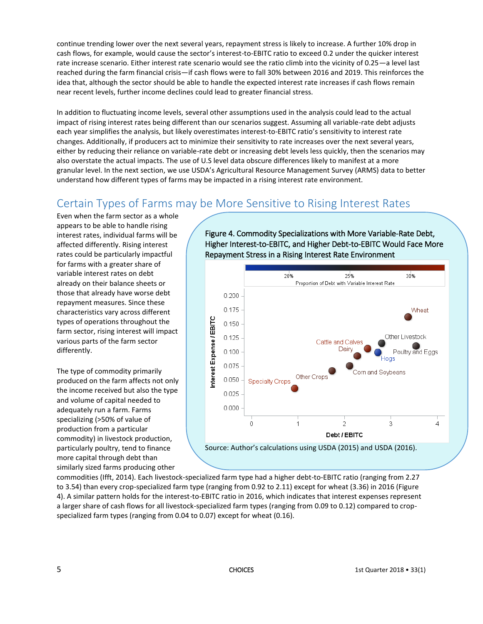continue trending lower over the next several years, repayment stress is likely to increase. A further 10% drop in cash flows, for example, would cause the sector's interest-to-EBITC ratio to exceed 0.2 under the quicker interest rate increase scenario. Either interest rate scenario would see the ratio climb into the vicinity of 0.25—a level last reached during the farm financial crisis—if cash flows were to fall 30% between 2016 and 2019. This reinforces the idea that, although the sector should be able to handle the expected interest rate increases if cash flows remain near recent levels, further income declines could lead to greater financial stress.

In addition to fluctuating income levels, several other assumptions used in the analysis could lead to the actual impact of rising interest rates being different than our scenarios suggest. Assuming all variable-rate debt adjusts each year simplifies the analysis, but likely overestimates interest-to-EBITC ratio's sensitivity to interest rate changes. Additionally, if producers act to minimize their sensitivity to rate increases over the next several years, either by reducing their reliance on variable-rate debt or increasing debt levels less quickly, then the scenarios may also overstate the actual impacts. The use of U.S level data obscure differences likely to manifest at a more granular level. In the next section, we use USDA's Agricultural Resource Management Survey (ARMS) data to better understand how different types of farms may be impacted in a rising interest rate environment.

# Certain Types of Farms may be More Sensitive to Rising Interest Rates

Even when the farm sector as a whole appears to be able to handle rising interest rates, individual farms will be affected differently. Rising interest rates could be particularly impactful for farms with a greater share of variable interest rates on debt already on their balance sheets or those that already have worse debt repayment measures. Since these characteristics vary across different types of operations throughout the farm sector, rising interest will impact various parts of the farm sector differently.

The type of commodity primarily produced on the farm affects not only the income received but also the type and volume of capital needed to adequately run a farm. Farms specializing (>50% of value of production from a particular commodity) in livestock production, particularly poultry, tend to finance more capital through debt than similarly sized farms producing other

Figure 4. Commodity Specializations with More Variable-Rate Debt, Higher Interest-to-EBITC, and Higher Debt-to-EBITC Would Face More Repayment Stress in a Rising Interest Rate Environment



commodities (Ifft, 2014). Each livestock-specialized farm type had a higher debt-to-EBITC ratio (ranging from 2.27 to 3.54) than every crop-specialized farm type (ranging from 0.92 to 2.11) except for wheat (3.36) in 2016 (Figure 4). A similar pattern holds for the interest-to-EBITC ratio in 2016, which indicates that interest expenses represent a larger share of cash flows for all livestock-specialized farm types (ranging from 0.09 to 0.12) compared to cropspecialized farm types (ranging from 0.04 to 0.07) except for wheat (0.16).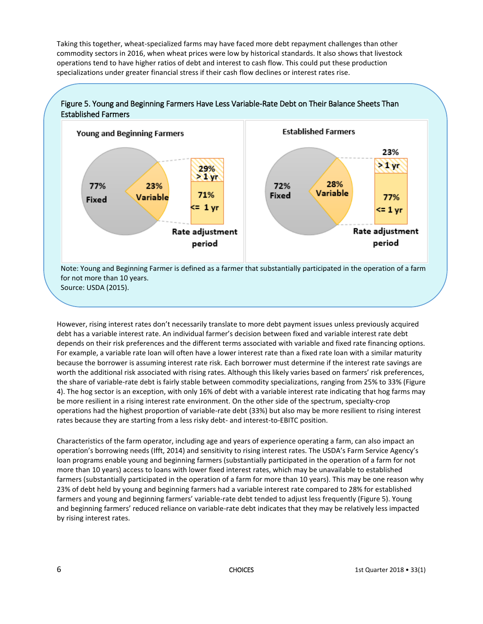Taking this together, wheat-specialized farms may have faced more debt repayment challenges than other commodity sectors in 2016, when wheat prices were low by historical standards. It also shows that livestock operations tend to have higher ratios of debt and interest to cash flow. This could put these production specializations under greater financial stress if their cash flow declines or interest rates rise.



However, rising interest rates don't necessarily translate to more debt payment issues unless previously acquired debt has a variable interest rate. An individual farmer's decision between fixed and variable interest rate debt depends on their risk preferences and the different terms associated with variable and fixed rate financing options. For example, a variable rate loan will often have a lower interest rate than a fixed rate loan with a similar maturity because the borrower is assuming interest rate risk. Each borrower must determine if the interest rate savings are worth the additional risk associated with rising rates. Although this likely varies based on farmers' risk preferences, the share of variable-rate debt is fairly stable between commodity specializations, ranging from 25% to 33% (Figure 4). The hog sector is an exception, with only 16% of debt with a variable interest rate indicating that hog farms may be more resilient in a rising interest rate environment. On the other side of the spectrum, specialty-crop operations had the highest proportion of variable-rate debt (33%) but also may be more resilient to rising interest rates because they are starting from a less risky debt- and interest-to-EBITC position.

Characteristics of the farm operator, including age and years of experience operating a farm, can also impact an operation's borrowing needs (Ifft, 2014) and sensitivity to rising interest rates. The USDA's Farm Service Agency's loan programs enable young and beginning farmers (substantially participated in the operation of a farm for not more than 10 years) access to loans with lower fixed interest rates, which may be unavailable to established farmers (substantially participated in the operation of a farm for more than 10 years). This may be one reason why 23% of debt held by young and beginning farmers had a variable interest rate compared to 28% for established farmers and young and beginning farmers' variable-rate debt tended to adjust less frequently (Figure 5). Young and beginning farmers' reduced reliance on variable-rate debt indicates that they may be relatively less impacted by rising interest rates.

for the contract of the CHOICES CHOICES and the contract of the contract of the contract of the contract of the contract of the contract of the contract of the contract of the contract of the contract of the contract of th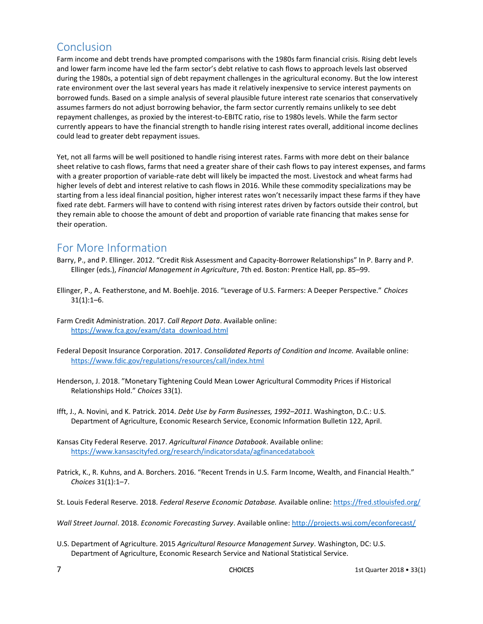### Conclusion

Farm income and debt trends have prompted comparisons with the 1980s farm financial crisis. Rising debt levels and lower farm income have led the farm sector's debt relative to cash flows to approach levels last observed during the 1980s, a potential sign of debt repayment challenges in the agricultural economy. But the low interest rate environment over the last several years has made it relatively inexpensive to service interest payments on borrowed funds. Based on a simple analysis of several plausible future interest rate scenarios that conservatively assumes farmers do not adjust borrowing behavior, the farm sector currently remains unlikely to see debt repayment challenges, as proxied by the interest-to-EBITC ratio, rise to 1980s levels. While the farm sector currently appears to have the financial strength to handle rising interest rates overall, additional income declines could lead to greater debt repayment issues.

Yet, not all farms will be well positioned to handle rising interest rates. Farms with more debt on their balance sheet relative to cash flows, farms that need a greater share of their cash flows to pay interest expenses, and farms with a greater proportion of variable-rate debt will likely be impacted the most. Livestock and wheat farms had higher levels of debt and interest relative to cash flows in 2016. While these commodity specializations may be starting from a less ideal financial position, higher interest rates won't necessarily impact these farms if they have fixed rate debt. Farmers will have to contend with rising interest rates driven by factors outside their control, but they remain able to choose the amount of debt and proportion of variable rate financing that makes sense for their operation.

#### For More Information

- Barry, P., and P. Ellinger. 2012. "Credit Risk Assessment and Capacity-Borrower Relationships" In P. Barry and P. Ellinger (eds.), *Financial Management in Agriculture*, 7th ed. Boston: Prentice Hall, pp. 85–99.
- Ellinger, P., A. Featherstone, and M. Boehlje. 2016. "Leverage of U.S. Farmers: A Deeper Perspective." *Choices*  $31(1):1-6.$
- Farm Credit Administration. 2017. *Call Report Data*. Available online: [https://www.fca.gov/exam/data\\_download.html](https://www.fca.gov/exam/data_download.html)
- Federal Deposit Insurance Corporation. 2017. *Consolidated Reports of Condition and Income.* Available online: <https://www.fdic.gov/regulations/resources/call/index.html>
- Henderson, J. 2018. "Monetary Tightening Could Mean Lower Agricultural Commodity Prices if Historical Relationships Hold." *Choices* 33(1).
- Ifft, J., A. Novini, and K. Patrick. 2014. *Debt Use by Farm Businesses, 1992–2011*. Washington, D.C.: U.S. Department of Agriculture, Economic Research Service, Economic Information Bulletin 122, April.
- Kansas City Federal Reserve. 2017. *Agricultural Finance Databook*. Available online: <https://www.kansascityfed.org/research/indicatorsdata/agfinancedatabook>
- Patrick, K., R. Kuhns, and A. Borchers. 2016. "Recent Trends in U.S. Farm Income, Wealth, and Financial Health." *Choices* 31(1):1–7.
- St. Louis Federal Reserve. 2018. *Federal Reserve Economic Database.* Available online:<https://fred.stlouisfed.org/>

*Wall Street Journal*. 2018. *Economic Forecasting Survey*. Available online:<http://projects.wsj.com/econforecast/>

U.S. Department of Agriculture. 2015 *Agricultural Resource Management Survey*. Washington, DC: U.S. Department of Agriculture, Economic Research Service and National Statistical Service.